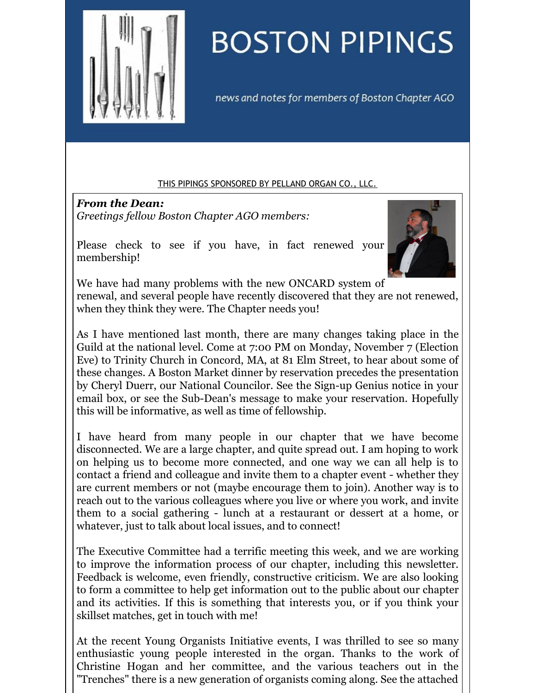<span id="page-0-0"></span>

# **BOSTON PIPINGS**

news and notes for members of Boston Chapter AGO

#### THIS PIPINGS [SPONSORED](#page-0-0) BY PELLAND ORGAN CO., LLC.

*From the Dean: Greetings fellow Boston Chapter AGO members:*

Please check to see if you have, in fact renewed your membership!



We have had many problems with the new ONCARD system of renewal, and several people have recently discovered that they are not renewed, when they think they were. The Chapter needs you!

As I have mentioned last month, there are many changes taking place in the Guild at the national level. Come at 7:00 PM on Monday, November 7 (Election Eve) to Trinity Church in Concord, MA, at 81 Elm Street, to hear about some of these changes. A Boston Market dinner by reservation precedes the presentation by Cheryl Duerr, our National Councilor. See the Sign-up Genius notice in your email box, or see the Sub-Dean's message to make your reservation. Hopefully this will be informative, as well as time of fellowship.

I have heard from many people in our chapter that we have become disconnected. We are a large chapter, and quite spread out. I am hoping to work on helping us to become more connected, and one way we can all help is to contact a friend and colleague and invite them to a chapter event - whether they are current members or not (maybe encourage them to join). Another way is to reach out to the various colleagues where you live or where you work, and invite them to a social gathering - lunch at a restaurant or dessert at a home, or whatever, just to talk about local issues, and to connect!

The Executive Committee had a terrific meeting this week, and we are working to improve the information process of our chapter, including this newsletter. Feedback is welcome, even friendly, constructive criticism. We are also looking to form a committee to help get information out to the public about our chapter and its activities. If this is something that interests you, or if you think your skillset matches, get in touch with me!

At the recent Young Organists Initiative events, I was thrilled to see so many enthusiastic young people interested in the organ. Thanks to the work of Christine Hogan and her committee, and the various teachers out in the "Trenches" there is a new generation of organists coming along. See the attached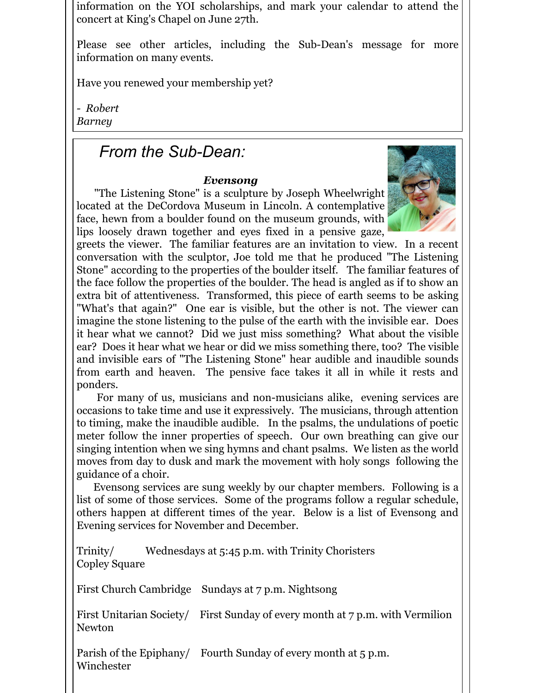information on the YOI scholarships, and mark your calendar to attend the concert at King's Chapel on June 27th.

Please see other articles, including the Sub-Dean's message for more information on many events.

Have you renewed your membership yet?

*- Robert Barney*

## *From the Sub-Dean:*

### *Evensong*

"The Listening Stone" is a sculpture by Joseph Wheelwright located at the DeCordova Museum in Lincoln. A contemplative face, hewn from a boulder found on the museum grounds, with lips loosely drawn together and eyes fixed in a pensive gaze,



greets the viewer. The familiar features are an invitation to view. In a recent conversation with the sculptor, Joe told me that he produced "The Listening Stone" according to the properties of the boulder itself. The familiar features of the face follow the properties of the boulder. The head is angled as if to show an extra bit of attentiveness. Transformed, this piece of earth seems to be asking "What's that again?" One ear is visible, but the other is not. The viewer can imagine the stone listening to the pulse of the earth with the invisible ear. Does it hear what we cannot? Did we just miss something? What about the visible ear? Does it hear what we hear or did we miss something there, too? The visible and invisible ears of "The Listening Stone" hear audible and inaudible sounds from earth and heaven. The pensive face takes it all in while it rests and ponders.

For many of us, musicians and non-musicians alike, evening services are occasions to take time and use it expressively. The musicians, through attention to timing, make the inaudible audible. In the psalms, the undulations of poetic meter follow the inner properties of speech. Our own breathing can give our singing intention when we sing hymns and chant psalms. We listen as the world moves from day to dusk and mark the movement with holy songs following the guidance of a choir.

Evensong services are sung weekly by our chapter members. Following is a list of some of those services. Some of the programs follow a regular schedule, others happen at different times of the year. Below is a list of Evensong and Evening services for November and December.

Trinity/ Wednesdays at 5:45 p.m. with Trinity Choristers Copley Square

First Church Cambridge Sundays at 7 p.m. Nightsong

First Unitarian Society/ First Sunday of every month at 7 p.m. with Vermilion Newton

Parish of the Epiphany/ Fourth Sunday of every month at 5 p.m. Winchester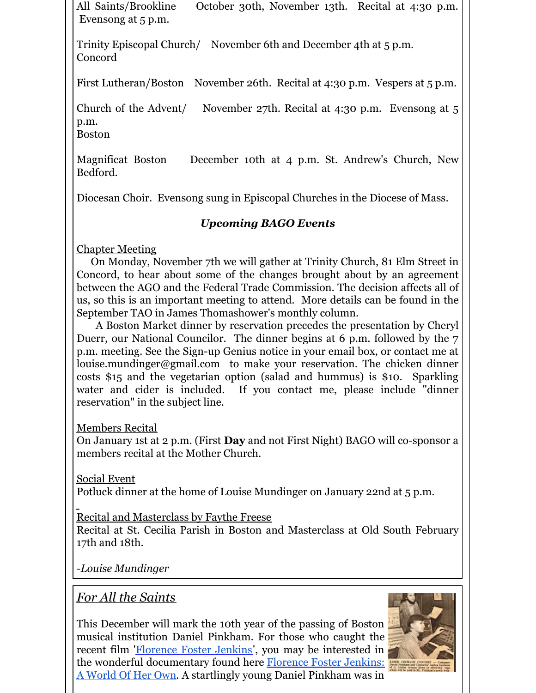All Saints/Brookline October 30th, November 13th. Recital at 4:30 p.m. Evensong at 5 p.m.

Trinity Episcopal Church/ November 6th and December 4th at 5 p.m. Concord

First Lutheran/Boston November 26th. Recital at 4:30 p.m. Vespers at 5 p.m.

Church of the Advent/ November 27th. Recital at 4:30 p.m. Evensong at 5 p.m.

Boston

Magnificat Boston December 10th at 4 p.m. St. Andrew's Church, New Bedford.

Diocesan Choir. Evensong sung in Episcopal Churches in the Diocese of Mass.

## *Upcoming BAGO Events*

Chapter Meeting

On Monday, November 7th we will gather at Trinity Church, 81 Elm Street in Concord, to hear about some of the changes brought about by an agreement between the AGO and the Federal Trade Commission. The decision affects all of us, so this is an important meeting to attend. More details can be found in the September TAO in James Thomashower's monthly column.

A Boston Market dinner by reservation precedes the presentation by Cheryl Duerr, our National Councilor. The dinner begins at 6 p.m. followed by the 7 p.m. meeting. See the Sign-up Genius notice in your email box, or contact me at louise.mundinger@gmail.com to make your reservation. The chicken dinner costs \$15 and the vegetarian option (salad and hummus) is \$10. Sparkling water and cider is included. If you contact me, please include "dinner reservation" in the subject line.

Members Recital

On January 1st at 2 p.m. (First **Day** and not First Night) BAGO will co-sponsor a members recital at the Mother Church.

Social Event

Potluck dinner at the home of Louise Mundinger on January 22nd at 5 p.m.

Recital and Masterclass by Faythe Freese

Recital at St. Cecilia Parish in Boston and Masterclass at Old South February 17th and 18th.

-*Louise Mundinger*

*For All the Saints*

This December will mark the 10th year of the passing of Boston musical institution Daniel Pinkham. For those who caught the recent film '[Florence](https://www.facebook.com/FlorenceFosterJenkinsMovie/) Foster Jenkins', you may be interested in the wonderful [documentary](https://www.youtube.com/watch?v=UVcatZDdaIY) found here **Florence Foster Jenkins:** A World Of Her Own. A startlingly young Daniel Pinkham was in

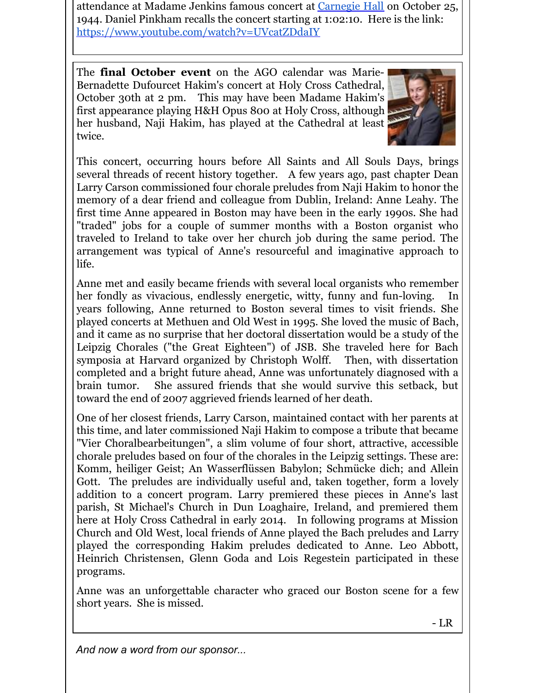attendance at Madame Jenkins famous concert at [Carnegie](https://www.facebook.com/carnegiehall/) Hall on October 25, 1944. Daniel Pinkham recalls the concert starting at 1:02:10. Here is the link: <https://www.youtube.com/watch?v=UVcatZDdaIY>

The **final October event** on the AGO calendar was Marie-Bernadette Dufourcet Hakim's concert at Holy Cross Cathedral, October 30th at 2 pm. This may have been Madame Hakim's first appearance playing H&H Opus 800 at Holy Cross, although her husband, Naji Hakim, has played at the Cathedral at least twice.



This concert, occurring hours before All Saints and All Souls Days, brings several threads of recent history together. A few years ago, past chapter Dean Larry Carson commissioned four chorale preludes from Naji Hakim to honor the memory of a dear friend and colleague from Dublin, Ireland: Anne Leahy. The first time Anne appeared in Boston may have been in the early 1990s. She had "traded" jobs for a couple of summer months with a Boston organist who traveled to Ireland to take over her church job during the same period. The arrangement was typical of Anne's resourceful and imaginative approach to life.

Anne met and easily became friends with several local organists who remember her fondly as vivacious, endlessly energetic, witty, funny and fun-loving. In years following, Anne returned to Boston several times to visit friends. She played concerts at Methuen and Old West in 1995. She loved the music of Bach, and it came as no surprise that her doctoral dissertation would be a study of the Leipzig Chorales ("the Great Eighteen") of JSB. She traveled here for Bach symposia at Harvard organized by Christoph Wolff. Then, with dissertation completed and a bright future ahead, Anne was unfortunately diagnosed with a brain tumor. She assured friends that she would survive this setback, but toward the end of 2007 aggrieved friends learned of her death.

One of her closest friends, Larry Carson, maintained contact with her parents at this time, and later commissioned Naji Hakim to compose a tribute that became "Vier Choralbearbeitungen", a slim volume of four short, attractive, accessible chorale preludes based on four of the chorales in the Leipzig settings. These are: Komm, heiliger Geist; An Wasserflüssen Babylon; Schmücke dich; and Allein Gott. The preludes are individually useful and, taken together, form a lovely addition to a concert program. Larry premiered these pieces in Anne's last parish, St Michael's Church in Dun Loaghaire, Ireland, and premiered them here at Holy Cross Cathedral in early 2014. In following programs at Mission Church and Old West, local friends of Anne played the Bach preludes and Larry played the corresponding Hakim preludes dedicated to Anne. Leo Abbott, Heinrich Christensen, Glenn Goda and Lois Regestein participated in these programs.

Anne was an unforgettable character who graced our Boston scene for a few short years. She is missed.